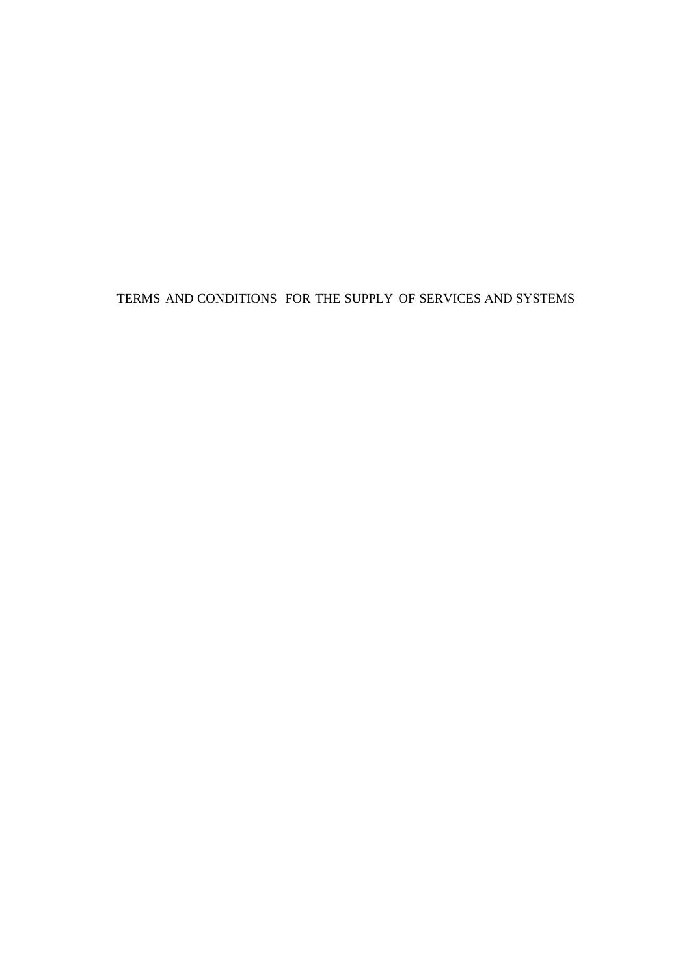TERMS AND CONDITIONS FOR THE SUPPLY OF SERVICES AND SYSTEMS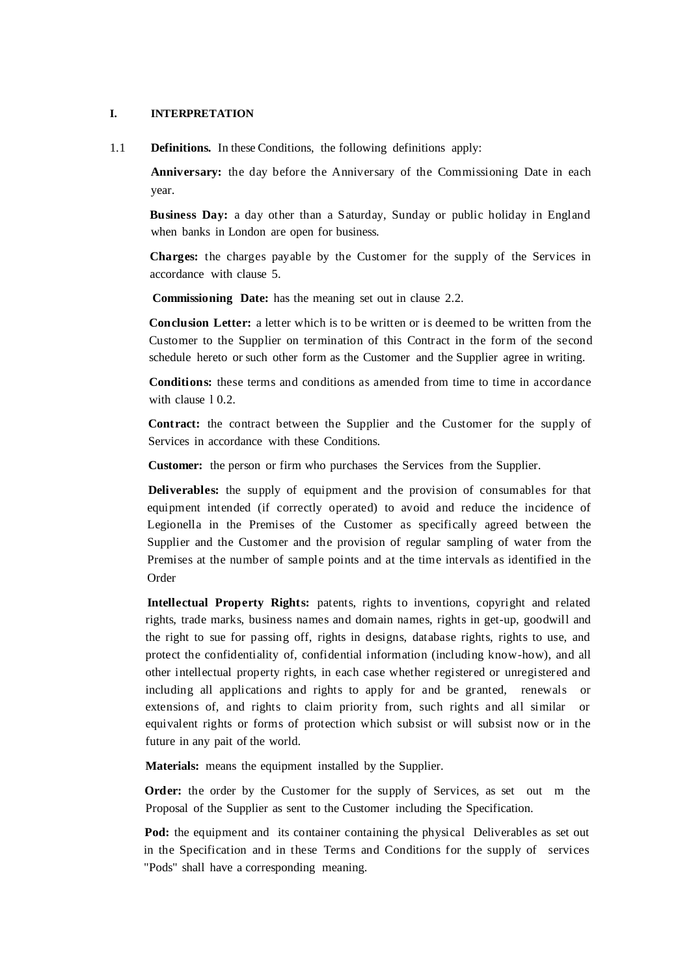#### **I. INTERPRETATION**

1.1 **Definitions.** In these Conditions, the following definitions apply:

**Anniversary:** the day before the Anniversary of the Commissioning Date in each year.

**Business Day:** a day other than a Saturday, Sunday or public holiday in England when banks in London are open for business.

**Charges:** the charges payable by the Customer for the supply of the Services in accordance with clause 5.

**Commissioning Date:** has the meaning set out in clause 2.2.

**Conclusion Letter:** a letter which is to be written or is deemed to be written from the Customer to the Supplier on termination of this Contract in the form of the second schedule hereto or such other form as the Customer and the Supplier agree in writing.

**Conditions:** these terms and conditions as amended from time to time in accordance with clause 10.2.

**Contract:** the contract between the Supplier and the Customer for the supply of Services in accordance with these Conditions.

**Customer:** the person or firm who purchases the Services from the Supplier.

**Deliverables:** the supply of equipment and the provision of consumables for that equipment intended (if correctly operated) to avoid and reduce the incidence of Legionella in the Premises of the Customer as specifically agreed between the Supplier and the Customer and the provision of regular sampling of water from the Premises at the number of sample points and at the time intervals as identified in the Order

**Intellectual Property Rights:** patents, rights to inventions, copyright and related rights, trade marks, business names and domain names, rights in get-up, goodwill and the right to sue for passing off, rights in designs, database rights, rights to use, and protect the confidentiality of, confidential information (including know-how), and all other intellectual property rights, in each case whether registered or unregistered and including all applications and rights to apply for and be granted, renewals or extensions of, and rights to claim priority from, such rights and all similar or equivalent rights or forms of protection which subsist or will subsist now or in the future in any pait of the world.

**Materials:** means the equipment installed by the Supplier.

**Order:** the order by the Customer for the supply of Services, as set out m the Proposal of the Supplier as sent to the Customer including the Specification.

Pod: the equipment and its container containing the physical Deliverables as set out in the Specification and in these Terms and Conditions for the supply of services "Pods" shall have a corresponding meaning.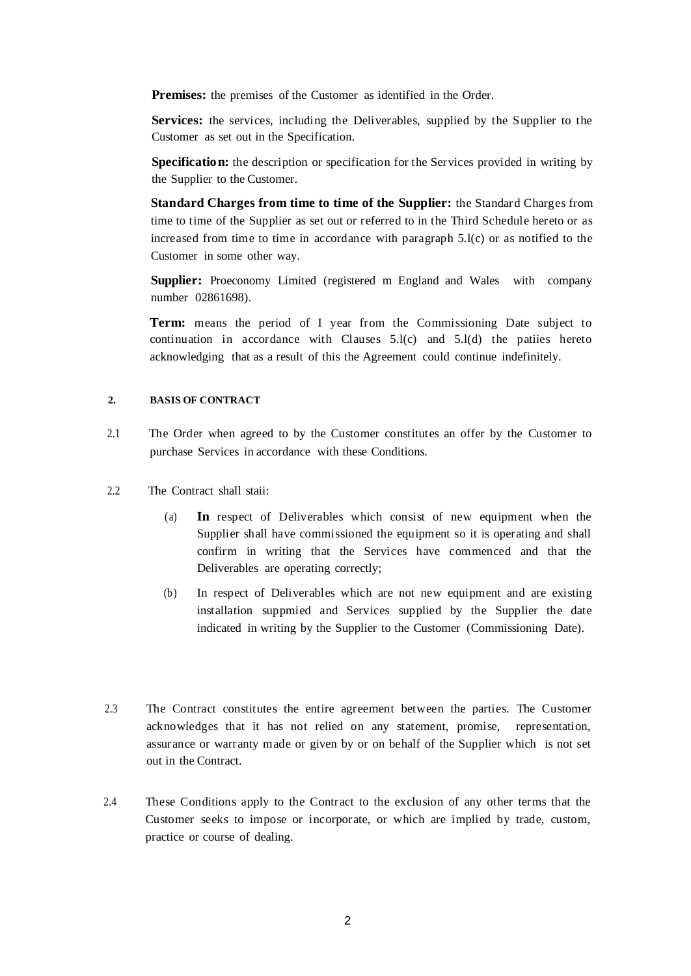**Premises:** the premises of the Customer as identified in the Order.

**Services:** the services, including the Deliverables, supplied by the Supplier to the Customer as set out in the Specification.

**Specification:** the description or specification for the Services provided in writing by the Supplier to the Customer.

**Standard Charges from time to time of the Supplier:** the Standard Charges from time to time of the Supplier as set out or referred to in the Third Schedule hereto or as increased from time to time in accordance with paragraph 5.l(c) or as notified to the Customer in some other way.

**Supplier:** Proeconomy Limited (registered m England and Wales with company number 02861698).

**Term:** means the period of I year from the Commissioning Date subject to continuation in accordance with Clauses  $5.l(c)$  and  $5.l(d)$  the patiies hereto acknowledging that as a result of this the Agreement could continue indefinitely.

### **2. BASIS OF CONTRACT**

- 2.1 The Order when agreed to by the Customer constitutes an offer by the Customer to purchase Services in accordance with these Conditions.
- 2.2 The Contract shall staii:
	- (a) **In** respect of Deliverables which consist of new equipment when the Supplier shall have commissioned the equipment so it is operating and shall confirm in writing that the Services have commenced and that the Deliverables are operating correctly;
	- (b) In respect of Deliverables which are not new equipment and are existing installation suppmied and Services supplied by the Supplier the date indicated in writing by the Supplier to the Customer (Commissioning Date).
- 2.3 The Contract constitutes the entire agreement between the parties. The Customer acknowledges that it has not relied on any statement, promise, representation, assurance or warranty made or given by or on behalf of the Supplier which is not set out in the Contract.
- 2.4 These Conditions apply to the Contract to the exclusion of any other terms that the Customer seeks to impose or incorporate, or which are implied by trade, custom, practice or course of dealing.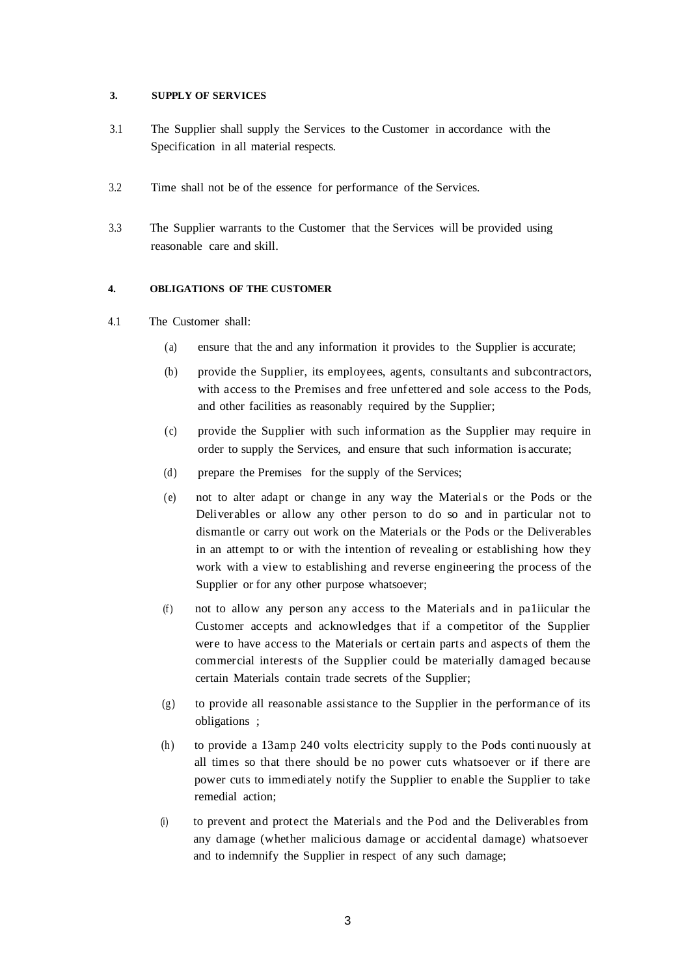### **3. SUPPLY OF SERVICES**

- 3.1 The Supplier shall supply the Services to the Customer in accordance with the Specification in all material respects.
- 3.2 Time shall not be of the essence for performance of the Services.
- 3.3 The Supplier warrants to the Customer that the Services will be provided using reasonable care and skill.

### **4. OBLIGATIONS OF THE CUSTOMER**

- 4.1 The Customer shall:
	- (a) ensure that the and any information it provides to the Supplier is accurate;
	- (b) provide the Supplier, its employees, agents, consultants and subcontractors, with access to the Premises and free unfettered and sole access to the Pods, and other facilities as reasonably required by the Supplier;
	- (c) provide the Supplier with such information as the Supplier may require in order to supply the Services, and ensure that such information is accurate;
	- (d) prepare the Premises for the supply of the Services;
	- (e) not to alter adapt or change in any way the Materials or the Pods or the Deliverables or allow any other person to do so and in particular not to dismantle or carry out work on the Materials or the Pods or the Deliverables in an attempt to or with the intention of revealing or establishing how they work with a view to establishing and reverse engineering the process of the Supplier or for any other purpose whatsoever;
	- (f) not to allow any person any access to the Materials and in paliicular the Customer accepts and acknowledges that if a competitor of the Supplier were to have access to the Materials or certain parts and aspects of them the commercial interests of the Supplier could be materially damaged because certain Materials contain trade secrets of the Supplier;
	- (g) to provide all reasonable assistance to the Supplier in the performance of its obligations ;
	- (h) to provide a 13amp 240 volts electricity supply to the Pods conti nuously at all times so that there should be no power cuts whatsoever or if there are power cuts to immediately notify the Supplier to enable the Supplier to take remedial action;
	- (i) to prevent and protect the Materials and the Pod and the Deliverables from any damage (whether malicious damage or accidental damage) whatsoever and to indemnify the Supplier in respect of any such damage;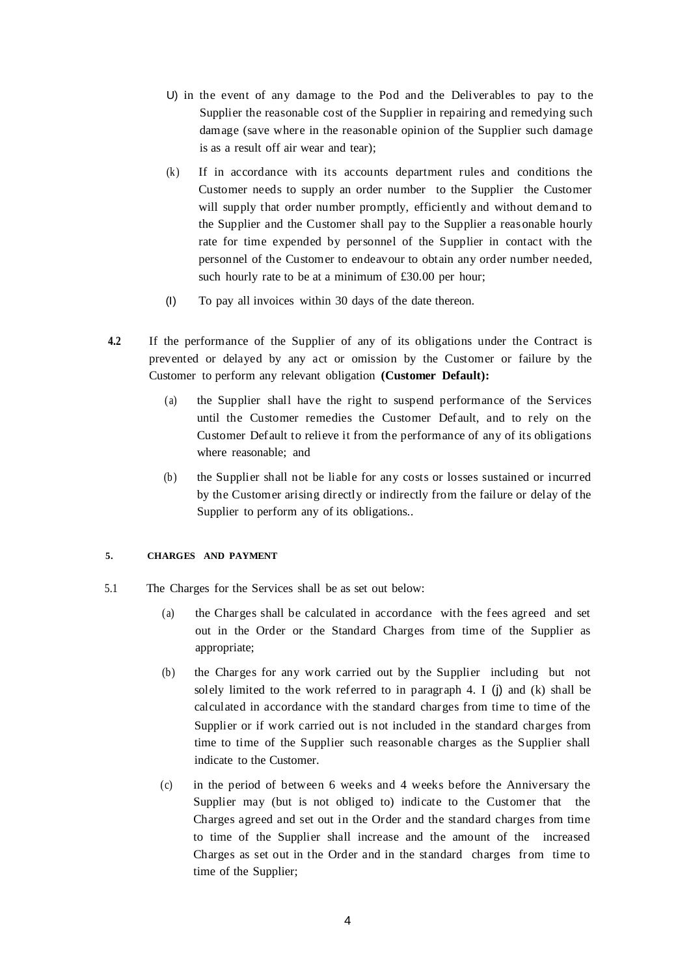- U) in the event of any damage to the Pod and the Deliverables to pay to the Supplier the reasonable cost of the Supplier in repairing and remedying such damage (save where in the reasonable opinion of the Supplier such damage is as a result off air wear and tear);
- (k) If in accordance with its accounts department rules and conditions the Customer needs to supply an order number to the Supplier the Customer will supply that order number promptly, efficiently and without demand to the Supplier and the Customer shall pay to the Supplier a reasonable hourly rate for time expended by personnel of the Supplier in contact with the personnel of the Customer to endeavour to obtain any order number needed, such hourly rate to be at a minimum of £30.00 per hour;
- (I) To pay all invoices within 30 days of the date thereon.
- **4.2** If the performance of the Supplier of any of its obligations under the Contract is prevented or delayed by any act or omission by the Customer or failure by the Customer to perform any relevant obligation **(Customer Default):**
	- (a) the Supplier shall have the right to suspend performance of the Services until the Customer remedies the Customer Default, and to rely on the Customer Default to relieve it from the performance of any of its obligations where reasonable; and
	- (b) the Supplier shall not be liable for any costs or losses sustained or incurred by the Customer arising directly or indirectly from the failure or delay of the Supplier to perform any of its obligations..

### **5. CHARGES AND PAYMENT**

- 5.1 The Charges for the Services shall be as set out below:
	- (a) the Charges shall be calculated in accordance with the fees agreed and set out in the Order or the Standard Charges from time of the Supplier as appropriate;
	- (b) the Charges for any work carried out by the Supplier including but not solely limited to the work referred to in paragraph 4. I (j) and (k) shall be calculated in accordance with the standard charges from time to time of the Supplier or if work carried out is not included in the standard charges from time to time of the Supplier such reasonable charges as the Supplier shall indicate to the Customer.
	- (c) in the period of between 6 weeks and 4 weeks before the Anniversary the Supplier may (but is not obliged to) indicate to the Customer that the Charges agreed and set out in the Order and the standard charges from time to time of the Supplier shall increase and the amount of the increased Charges as set out in the Order and in the standard charges from time to time of the Supplier;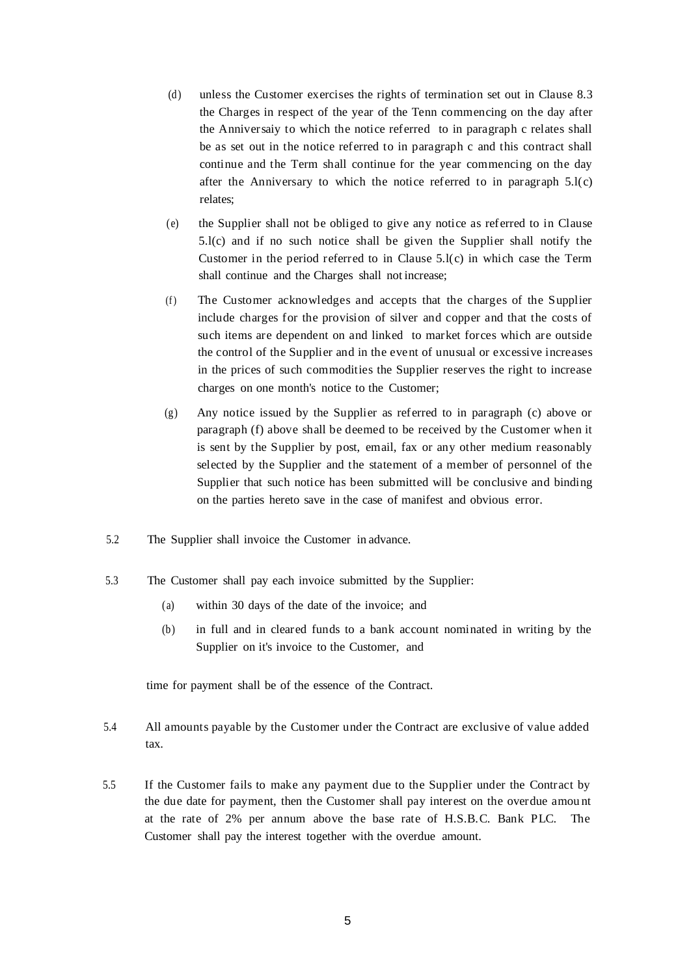- (d) unless the Customer exercises the rights of termination set out in Clause 8.3 the Charges in respect of the year of the Tenn commencing on the day after the Anniversaiy to which the notice referred to in paragraph c relates shall be as set out in the notice referred to in paragraph c and this contract shall continue and the Term shall continue for the year commencing on the day after the Anniversary to which the notice referred to in paragraph  $5.l(c)$ relates;
- (e) the Supplier shall not be obliged to give any notice as referred to in Clause 5.l(c) and if no such notice shall be given the Supplier shall notify the Customer in the period referred to in Clause 5.l(c) in which case the Term shall continue and the Charges shall not increase;
- (f) The Customer acknowledges and accepts that the charges of the Supplier include charges for the provision of silver and copper and that the costs of such items are dependent on and linked to market forces which are outside the control of the Supplier and in the event of unusual or excessive increases in the prices of such commodities the Supplier reserves the right to increase charges on one month's notice to the Customer;
- (g) Any notice issued by the Supplier as referred to in paragraph (c) above or paragraph (f) above shall be deemed to be received by the Customer when it is sent by the Supplier by post, email, fax or any other medium reasonably selected by the Supplier and the statement of a member of personnel of the Supplier that such notice has been submitted will be conclusive and binding on the parties hereto save in the case of manifest and obvious error.
- 5.2 The Supplier shall invoice the Customer in advance.
- 5.3 The Customer shall pay each invoice submitted by the Supplier:
	- (a) within 30 days of the date of the invoice; and
	- (b) in full and in cleared funds to a bank account nominated in writing by the Supplier on it's invoice to the Customer, and

time for payment shall be of the essence of the Contract.

- 5.4 All amounts payable by the Customer under the Contract are exclusive of value added tax.
- 5.5 If the Customer fails to make any payment due to the Supplier under the Contract by the due date for payment, then the Customer shall pay interest on the overdue amou nt at the rate of 2% per annum above the base rate of H.S.B.C. Bank PLC. The Customer shall pay the interest together with the overdue amount.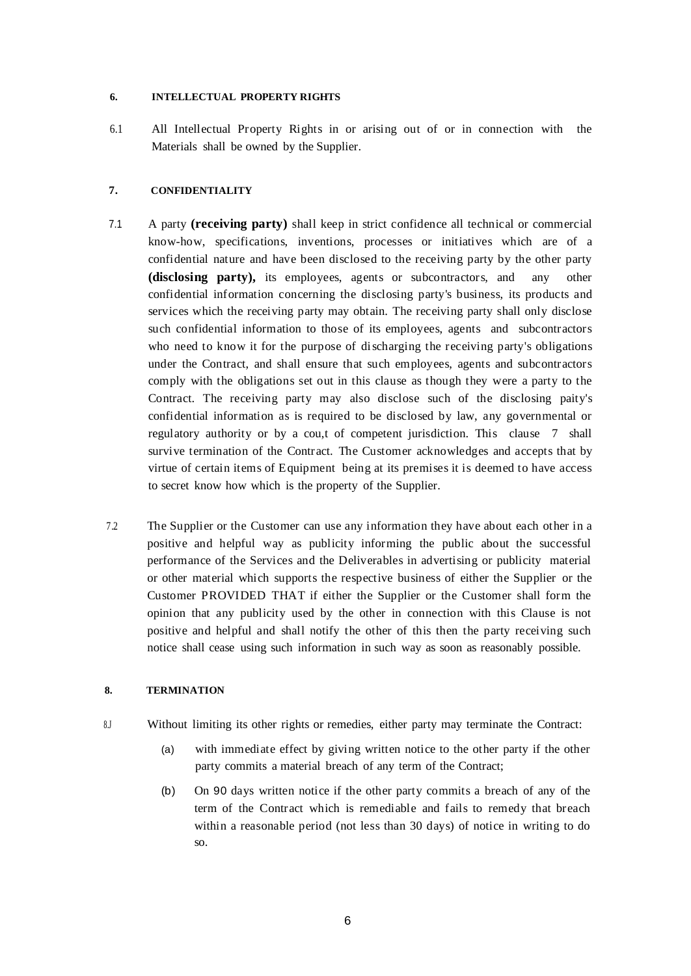### **6. INTELLECTUAL PROPERTY RIGHTS**

6.1 All Intellectual Property Rights in or arising out of or in connection with the Materials shall be owned by the Supplier.

### **7. CONFIDENTIALITY**

- 7.1 A party **(receiving party)** shall keep in strict confidence all technical or commercial know-how, specifications, inventions, processes or initiatives which are of a confidential nature and have been disclosed to the receiving party by the other party **(disclosing party),** its employees, agents or subcontractors, and any other confidential information concerning the disclosing party's business, its products and services which the receiving party may obtain. The receiving party shall only disclose such confidential information to those of its employees, agents and subcontractors who need to know it for the purpose of discharging the receiving party's obligations under the Contract, and shall ensure that such employees, agents and subcontractors comply with the obligations set out in this clause as though they were a party to the Contract. The receiving party may also disclose such of the disclosing paity's confidential information as is required to be disclosed by law, any governmental or regulatory authority or by a cou,t of competent jurisdiction. This clause 7 shall survive termination of the Contract. The Customer acknowledges and accepts that by virtue of certain items of Equipment being at its premises it is deemed to have access to secret know how which is the property of the Supplier.
- 7.2 The Supplier or the Customer can use any information they have about each other in a positive and helpful way as publicity informing the public about the successful performance of the Services and the Deliverables in advertising or publicity material or other material which supports the respective business of either the Supplier or the Customer PROVIDED THAT if either the Supplier or the Customer shall form the opinion that any publicity used by the other in connection with this Clause is not positive and helpful and shall notify the other of this then the party receiving such notice shall cease using such information in such way as soon as reasonably possible.

### **8. TERMINATION**

- 8.J Without limiting its other rights or remedies, either party may terminate the Contract:
	- (a) with immediate effect by giving written notice to the other party if the other party commits a material breach of any term of the Contract;
	- (b) On 90 days written notice if the other party commits a breach of any of the term of the Contract which is remediable and fails to remedy that breach within a reasonable period (not less than 30 days) of notice in writing to do so.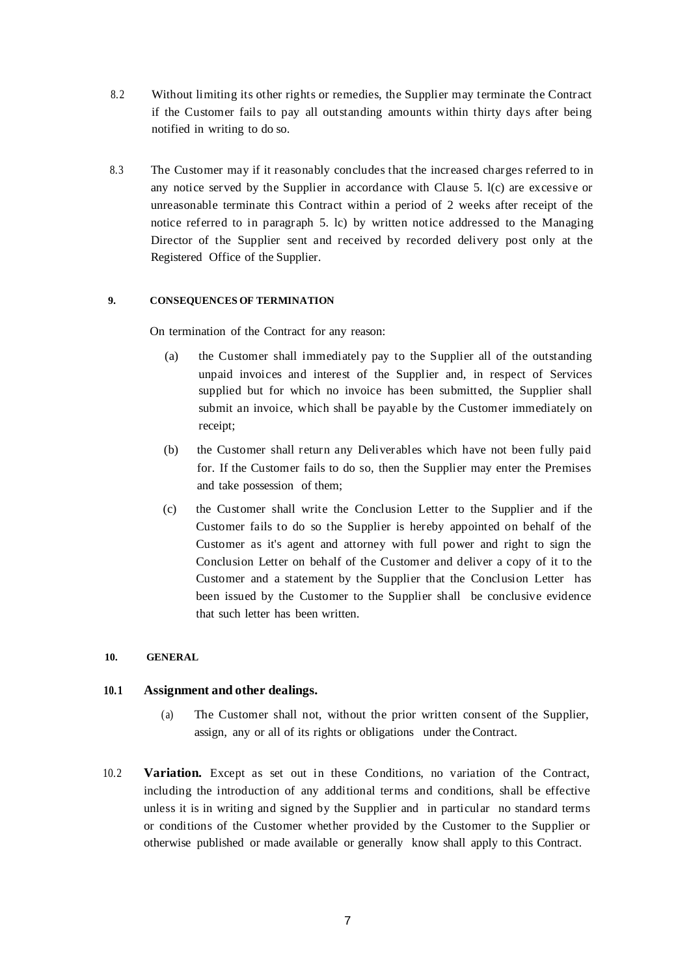- 8.2 Without limiting its other rights or remedies, the Supplier may terminate the Contract if the Customer fails to pay all outstanding amounts within thirty days after being notified in writing to do so.
- 8.3 The Customer may if it reasonably concludes that the increased charges referred to in any notice served by the Supplier in accordance with Clause 5. l(c) are excessive or unreasonable terminate this Contract within a period of 2 weeks after receipt of the notice referred to in paragraph 5. lc) by written notice addressed to the Managing Director of the Supplier sent and received by recorded delivery post only at the Registered Office of the Supplier.

### **9. CONSEQUENCES OF TERMINATION**

On termination of the Contract for any reason:

- (a) the Customer shall immediately pay to the Supplier all of the outstanding unpaid invoices and interest of the Supplier and, in respect of Services supplied but for which no invoice has been submitted, the Supplier shall submit an invoice, which shall be payable by the Customer immediately on receipt;
- (b) the Customer shall return any Deliverables which have not been fully paid for. If the Customer fails to do so, then the Supplier may enter the Premises and take possession of them;
- (c) the Customer shall write the Conclusion Letter to the Supplier and if the Customer fails to do so the Supplier is hereby appointed on behalf of the Customer as it's agent and attorney with full power and right to sign the Conclusion Letter on behalf of the Customer and deliver a copy of it to the Customer and a statement by the Supplier that the Conclusion Letter has been issued by the Customer to the Supplier shall be conclusive evidence that such letter has been written.

### **10. GENERAL**

# **10.1 Assignment and other dealings.**

- (a) The Customer shall not, without the prior written consent of the Supplier, assign, any or all of its rights or obligations under the Contract.
- 10.2 **Variation.** Except as set out in these Conditions, no variation of the Contract, including the introduction of any additional terms and conditions, shall be effective unless it is in writing and signed by the Supplier and in particular no standard terms or conditions of the Customer whether provided by the Customer to the Supplier or otherwise published or made available or generally know shall apply to this Contract.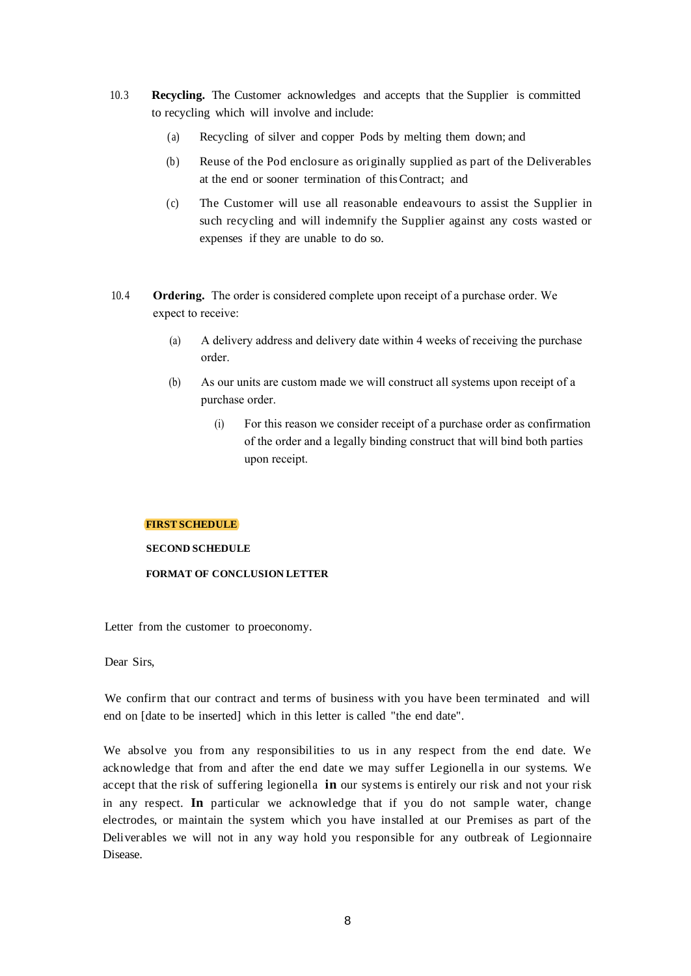- 10.3 **Recycling.** The Customer acknowledges and accepts that the Supplier is committed to recycling which will involve and include:
	- (a) Recycling of silver and copper Pods by melting them down; and
	- (b) Reuse of the Pod enclosure as originally supplied as part of the Deliverables at the end or sooner termination of thisContract; and
	- (c) The Customer will use all reasonable endeavours to assist the Supplier in such recycling and will indemnify the Supplier against any costs wasted or expenses if they are unable to do so.
- 10.4 **Ordering.** The order is considered complete upon receipt of a purchase order. We expect to receive:
	- (a) A delivery address and delivery date within 4 weeks of receiving the purchase order.
	- (b) As our units are custom made we will construct all systems upon receipt of a purchase order.
		- (i) For this reason we consider receipt of a purchase order as confirmation of the order and a legally binding construct that will bind both parties upon receipt.

### **FIRST SCHEDULE**

**SECOND SCHEDULE** 

### **FORMAT OF CONCLUSION LETTER**

Letter from the customer to proeconomy.

Dear Sirs,

We confirm that our contract and terms of business with you have been terminated and will end on [date to be inserted] which in this letter is called "the end date".

We absolve you from any responsibilities to us in any respect from the end date. We acknowledge that from and after the end date we may suffer Legionella in our systems. We accept that the risk of suffering legionella **in** our systems is entirely our risk and not your risk in any respect. **In** particular we acknowledge that if you do not sample water, change electrodes, or maintain the system which you have installed at our Premises as part of the Deliverables we will not in any way hold you responsible for any outbreak of Legionnaire Disease.